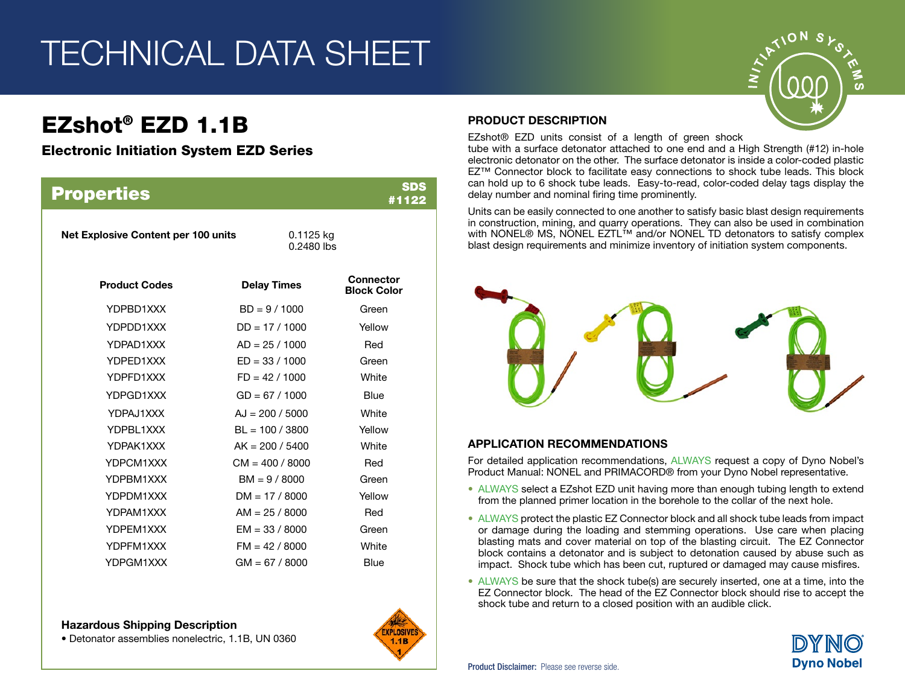## TECHNICAL DATA SHEET

## EZshot® EZD 1.1B

### Electronic Initiation System EZD Series

| <b>Properties</b>                   |                           | <b>SDS</b><br>#1122                    |
|-------------------------------------|---------------------------|----------------------------------------|
| Net Explosive Content per 100 units | $0.1125$ kg<br>0.2480 lbs |                                        |
| <b>Product Codes</b>                | <b>Delay Times</b>        | <b>Connector</b><br><b>Block Color</b> |
| YDPBD1XXX                           | $BD = 9 / 1000$           | Green                                  |
| YDPDD1XXX                           | $DD = 17 / 1000$          | Yellow                                 |
| YDPAD1XXX                           | $AD = 25 / 1000$          | Red                                    |
| YDPED1XXX                           | $ED = 33 / 1000$          | Green                                  |
| YDPFD1XXX                           | $FD = 42 / 1000$          | White                                  |
| YDPGD1XXX                           | $GD = 67 / 1000$          | Blue                                   |
| YDPAJ1XXX                           | $AJ = 200 / 5000$         | White                                  |
| YDPBL1XXX                           | $BL = 100 / 3800$         | Yellow                                 |
| YDPAK1XXX                           | $AK = 200 / 5400$         | White                                  |
| YDPCM1XXX                           | $CM = 400 / 8000$         | Red                                    |
| YDPBM1XXX                           | $BM = 9 / 8000$           | Green                                  |
| YDPDM1XXX                           | $DM = 17 / 8000$          | Yellow                                 |
| YDPAM1XXX                           | $AM = 25 / 8000$          | Red                                    |
| YDPEM1XXX                           | $EM = 33 / 8000$          | Green                                  |
| YDPFM1XXX                           | $FM = 42 / 8000$          | White                                  |
| YDPGM1XXX                           | $GM = 67 / 8000$          | Blue                                   |

#### Hazardous Shipping Description

• Detonator assemblies nonelectric, 1.1B, UN 0360



### PRODUCT DESCRIPTION

EZshot® EZD units consist of a length of green shock

tube with a surface detonator attached to one end and a High Strength (#12) in-hole electronic detonator on the other. The surface detonator is inside a color-coded plastic EZ™ Connector block to facilitate easy connections to shock tube leads. This block can hold up to 6 shock tube leads. Easy-to-read, color-coded delay tags display the delay number and nominal firing time prominently.

Units can be easily connected to one another to satisfy basic blast design requirements in construction, mining, and quarry operations. They can also be used in combination with NONEL® MS, NONEL EZTL™ and/or NONEL TD detonators to satisfy complex blast design requirements and minimize inventory of initiation system components.



### APPLICATION RECOMMENDATIONS

For detailed application recommendations, ALWAYS request a copy of Dyno Nobel's Product Manual: NONEL and PRIMACORD® from your Dyno Nobel representative.

- ALWAYS select a EZshot EZD unit having more than enough tubing length to extend from the planned primer location in the borehole to the collar of the next hole.
- ALWAYS protect the plastic EZ Connector block and all shock tube leads from impact or damage during the loading and stemming operations. Use care when placing blasting mats and cover material on top of the blasting circuit. The EZ Connector block contains a detonator and is subject to detonation caused by abuse such as impact. Shock tube which has been cut, ruptured or damaged may cause misfires.
- ALWAYS be sure that the shock tube(s) are securely inserted, one at a time, into the EZ Connector block. The head of the EZ Connector block should rise to accept the shock tube and return to a closed position with an audible click.